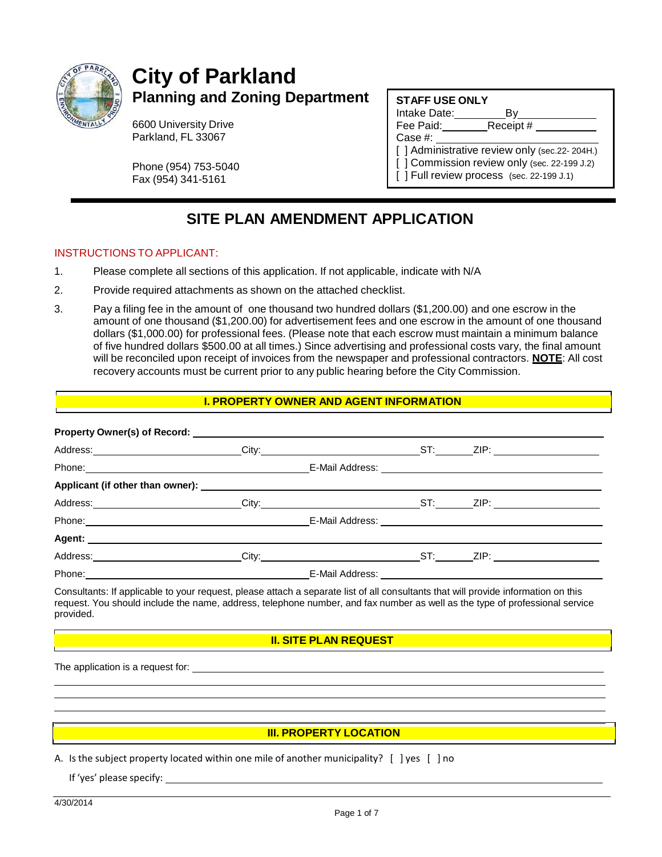

# **City of Parkland Planning and Zoning Department**

6600 University Drive Parkland, FL 33067

Phone (954) 753-5040 Fax (954) 341-5161

#### **STAFF USE ONLY**

Intake Date: By Fee Paid: Case #: [] Administrative review only (sec.22-204H.) [ ] Commission review only (sec. 22-199 J.2) [ ] Full review process (sec. 22-199 J.1)

## **SITE PLAN AMENDMENT APPLICATION**

#### INSTRUCTIONS TO APPLICANT:

- 1. Please complete all sections of this application. If not applicable, indicate with N/A
- 2. Provide required attachments as shown on the attached checklist.
- 3. Pay a filing fee in the amount of one thousand two hundred dollars (\$1,200.00) and one escrow in the amount of one thousand (\$1,200.00) for advertisement fees and one escrow in the amount of one thousand dollars (\$1,000.00) for professional fees. (Please note that each escrow must maintain a minimum balance of five hundred dollars \$500.00 at all times.) Since advertising and professional costs vary, the final amount will be reconciled upon receipt of invoices from the newspaper and professional contractors. **NOTE**: All cost recovery accounts must be current prior to any public hearing before the City Commission.

#### **I. PROPERTY OWNER AND AGENT INFORMATION**

| Address: City: City: City: ST: ZIP: |  |  |  |
|-------------------------------------|--|--|--|
| Phone: _________________________    |  |  |  |

Consultants: If applicable to your request, please attach a separate list of all consultants that will provide information on this request. You should include the name, address, telephone number, and fax number as well as the type of professional service provided.

#### **II. SITE PLAN REQUEST**

The application is a request for:

#### **III. PROPERTY LOCATION**

A. Is the subject property located within one mile of another municipality? [ ] yes [ ] no

If 'yes' please specify: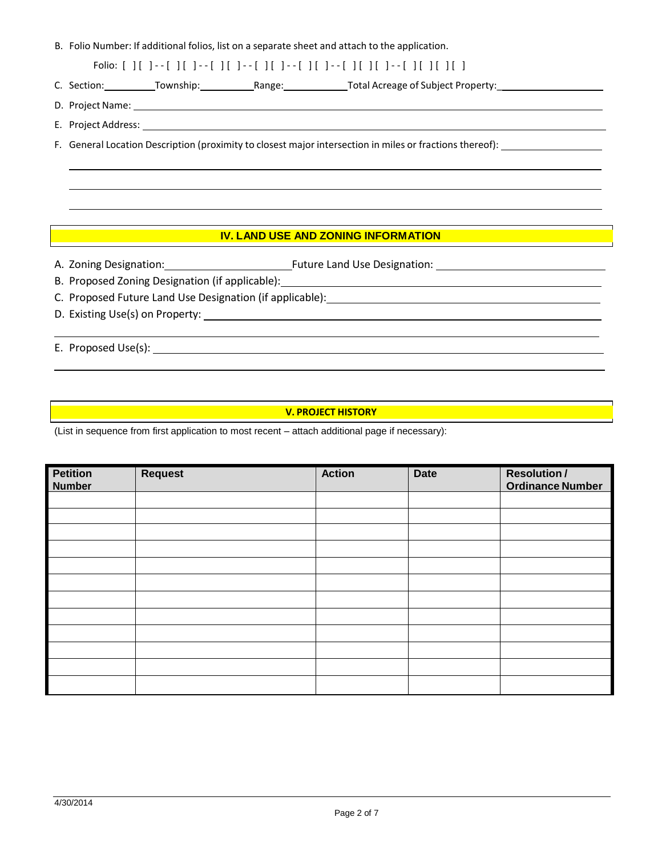B. Folio Number: If additional folios, list on a separate sheet and attach to the application.

Folio: [ ] [ ] - - [ ] [ ] - - [ ] [ ] - - [ ] [ ] - - [ ] [ ] - - [ ] [ ] [ ] - - [ ] [ ] [ ] [ ]

C. Section: Township: Range: The Total Acreage of Subject Property:

D. Project Name:

E. Project Address:

F. General Location Description (proximity to closest major intersection in miles or fractions thereof):

#### **IV. LAND USE AND ZONING INFORMATION**

- A. Zoning Designation: Future Land Use Designation:
- B. Proposed Zoning Designation (if applicable):
- C. Proposed Future Land Use Designation (if applicable):
- D. Existing Use(s) on Property:

E. Proposed Use(s):

#### **V. PROJECT HISTORY**

(List in sequence from first application to most recent – attach additional page if necessary):

| <b>Petition</b><br><b>Number</b> | Request | <b>Action</b> | <b>Date</b> | <b>Resolution/</b><br><b>Ordinance Number</b> |
|----------------------------------|---------|---------------|-------------|-----------------------------------------------|
|                                  |         |               |             |                                               |
|                                  |         |               |             |                                               |
|                                  |         |               |             |                                               |
|                                  |         |               |             |                                               |
|                                  |         |               |             |                                               |
|                                  |         |               |             |                                               |
|                                  |         |               |             |                                               |
|                                  |         |               |             |                                               |
|                                  |         |               |             |                                               |
|                                  |         |               |             |                                               |
|                                  |         |               |             |                                               |
|                                  |         |               |             |                                               |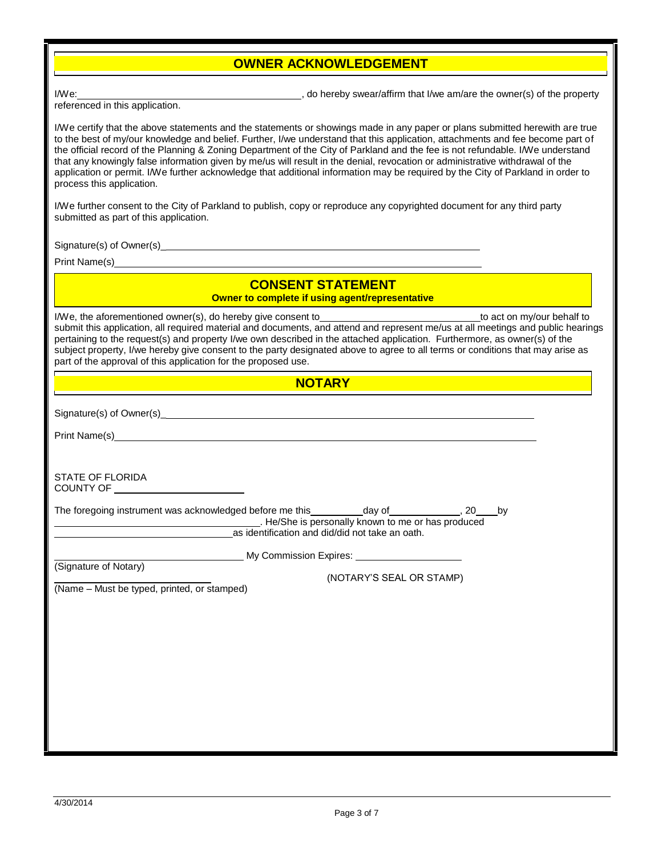#### **OWNER ACKNOWLEDGEMENT**

I/We:  $\frac{1}{2}$  and  $\frac{1}{2}$  are the owner(s) of the property swear/affirm that I/we am/are the owner(s) of the property

referenced in this application.

I/We certify that the above statements and the statements or showings made in any paper or plans submitted herewith are true to the best of my/our knowledge and belief. Further, I/we understand that this application, attachments and fee become part of the official record of the Planning & Zoning Department of the City of Parkland and the fee is not refundable. I/We understand that any knowingly false information given by me/us will result in the denial, revocation or administrative withdrawal of the application or permit. I/We further acknowledge that additional information may be required by the City of Parkland in order to process this application. I/We further consent to the City of Parkland to publish, copy or reproduce any copyrighted document for any third party submitted as part of this application. Signature(s) of Owner(s)\_

Print Name(s)

#### **CONSENT STATEMENT Owner to complete if using agent/representative**

I/We, the aforementioned owner(s), do hereby give consent to the to act on my/our behalf to act on my/our behalf to submit this application, all required material and documents, and attend and represent me/us at all meetings and public hearings pertaining to the request(s) and property I/we own described in the attached application. Furthermore, as owner(s) of the subject property, I/we hereby give consent to the party designated above to agree to all terms or conditions that may arise as part of the approval of this application for the proposed use.

#### **NOTARY**

Signature(s) of Owner(s)

Print Name(s)

STATE OF FLORIDA COUNTY OF

The foregoing instrument was acknowledged before me this  $\qquad \qquad$  day of  $\qquad \qquad$ , 20 by . He/She is personally known to me or has produced as identification and did/did not take an oath.

(Signature of Notary)

My Commission Expires:

(NOTARY'S SEAL OR STAMP)

(Name – Must be typed, printed, or stamped)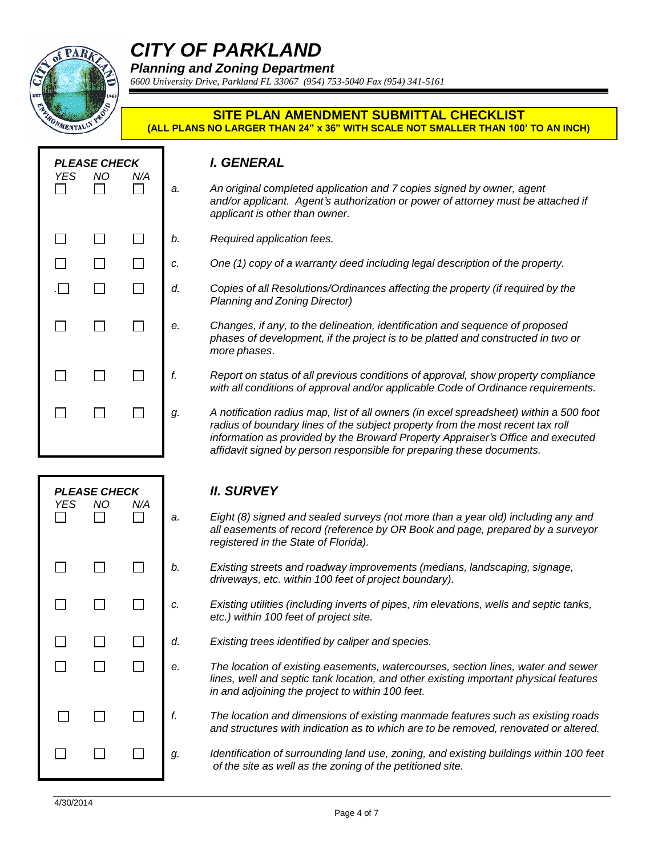

# *CITY OF PARKLAND*

*Planning and Zoning Department*

*6600 University Drive, Parkland FL 33067 (954) 753-5040 Fax (954) 341-5161*

#### **SITE PLAN AMENDMENT SUBMITTAL CHECKLIST (ALL PLANS NO LARGER THAN 24" x 36" WITH SCALE NOT SMALLER THAN 100' TO AN INCH)**

| YES          | <b>PLEASE CHECK</b><br>ΝO | N/A |    | <b>I. GENERAL</b>                                                            |
|--------------|---------------------------|-----|----|------------------------------------------------------------------------------|
|              |                           |     | a. | An original com<br>and/or applican<br>applicant is othe                      |
| $\mathbf{I}$ |                           |     | b. | Required applic                                                              |
|              |                           |     | c. | One (1) copy of                                                              |
| $\Box$       |                           |     | d. | Copies of all Re<br>Planning and Zo                                          |
|              |                           |     | е. | Changes, if any<br>phases of deve<br>more phases.                            |
|              |                           |     | f. | Report on statu<br>with all conditio                                         |
|              |                           |     | g. | A notification ra<br>radius of bound<br>information as p<br>affidavit signed |

| I. GENERAL |  |
|------------|--|

- *a. An original completed application and 7 copies signed by owner, agent and/or applicant. Agent's authorization or power of attorney must be attached if applicant is other than owner.*
- *b. Required application fees.*
- *c. One (1) copy of a warranty deed including legal description of the property.*
- *. d. Copies of all Resolutions/Ordinances affecting the property (if required by the Planning and Zoning Director)*
- *e. Changes, if any, to the delineation, identification and sequence of proposed phases of development, if the project is to be platted and constructed in two or more phases*.
	- *f. Report on status of all previous conditions of approval, show property compliance with all conditions of approval and/or applicable Code of Ordinance requirements.*
	- *g. A notification radius map, list of all owners (in excel spreadsheet) within a 500 foot radius of boundary lines of the subject property from the most recent tax roll information as provided by the Broward Property Appraiser's Office and executed affidavit signed by person responsible for preparing these documents.*

| <b>YES</b><br>$\Box$ | <b>PLEASE CHECK</b><br><b>NO</b> | N/A          | ć                        |
|----------------------|----------------------------------|--------------|--------------------------|
|                      | $\mathbf{L}$                     | $\mathbf{L}$ | l                        |
| $\Box$               | $\Box$                           | $\Box$       | $\epsilon$               |
|                      | $\mathbf{L}$                     | ī.<br>$\Box$ | $\epsilon$<br>$\epsilon$ |
|                      |                                  |              |                          |
| $\Box$               | $\Box$                           | $\Box$       | f                        |
|                      |                                  |              | $\mathbf{C}$             |
|                      |                                  |              |                          |

#### *PLEASE CHECK II. SURVEY*

- *a. Eight (8) signed and sealed surveys (not more than a year old) including any and all easements of record (reference by OR Book and page, prepared by a surveyor registered in the State of Florida).*
- *b. Existing streets and roadway improvements (medians, landscaping, signage, driveways, etc. within 100 feet of project boundary).*
- *c. Existing utilities (including inverts of pipes, rim elevations, wells and septic tanks, etc.) within 100 feet of project site.*
- *d. Existing trees identified by caliper and species.*
- *e. The location of existing easements, watercourses, section lines, water and sewer lines, well and septic tank location, and other existing important physical features in and adjoining the project to within 100 feet.*
	- *f. The location and dimensions of existing manmade features such as existing roads and structures with indication as to which are to be removed, renovated or altered.*

*g. Identification of surrounding land use, zoning, and existing buildings within 100 feet of the site as well as the zoning of the petitioned site.*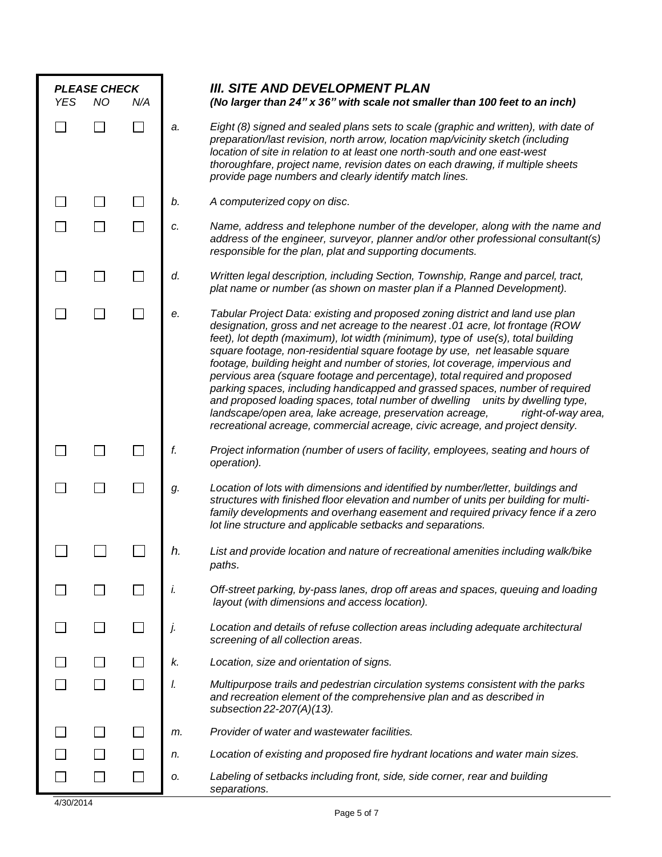| <b>PLEASE CHECK</b> |           |               | <b>III. SITE AND DEVELOPMENT PLAN</b> |                                                                                                                                                                                                                                                                                                                                                                                                                                                                                                                                                                                                                                                                                                                                                                                                                                   |
|---------------------|-----------|---------------|---------------------------------------|-----------------------------------------------------------------------------------------------------------------------------------------------------------------------------------------------------------------------------------------------------------------------------------------------------------------------------------------------------------------------------------------------------------------------------------------------------------------------------------------------------------------------------------------------------------------------------------------------------------------------------------------------------------------------------------------------------------------------------------------------------------------------------------------------------------------------------------|
| <b>YES</b>          | <b>NO</b> | N/A           | a.                                    | (No larger than 24" x 36" with scale not smaller than 100 feet to an inch)<br>Eight (8) signed and sealed plans sets to scale (graphic and written), with date of<br>preparation/last revision, north arrow, location map/vicinity sketch (including<br>location of site in relation to at least one north-south and one east-west<br>thoroughfare, project name, revision dates on each drawing, if multiple sheets<br>provide page numbers and clearly identify match lines.                                                                                                                                                                                                                                                                                                                                                    |
|                     |           |               | b.                                    | A computerized copy on disc.                                                                                                                                                                                                                                                                                                                                                                                                                                                                                                                                                                                                                                                                                                                                                                                                      |
|                     |           | $\Box$        | c.                                    | Name, address and telephone number of the developer, along with the name and<br>address of the engineer, surveyor, planner and/or other professional consultant(s)<br>responsible for the plan, plat and supporting documents.                                                                                                                                                                                                                                                                                                                                                                                                                                                                                                                                                                                                    |
|                     |           |               | d.                                    | Written legal description, including Section, Township, Range and parcel, tract,<br>plat name or number (as shown on master plan if a Planned Development).                                                                                                                                                                                                                                                                                                                                                                                                                                                                                                                                                                                                                                                                       |
|                     |           |               | е.                                    | Tabular Project Data: existing and proposed zoning district and land use plan<br>designation, gross and net acreage to the nearest .01 acre, lot frontage (ROW<br>feet), lot depth (maximum), lot width (minimum), type of use(s), total building<br>square footage, non-residential square footage by use, net leasable square<br>footage, building height and number of stories, lot coverage, impervious and<br>pervious area (square footage and percentage), total required and proposed<br>parking spaces, including handicapped and grassed spaces, number of required<br>and proposed loading spaces, total number of dwelling units by dwelling type,<br>landscape/open area, lake acreage, preservation acreage,<br>right-of-way area,<br>recreational acreage, commercial acreage, civic acreage, and project density. |
|                     |           |               | f.                                    | Project information (number of users of facility, employees, seating and hours of<br>operation).                                                                                                                                                                                                                                                                                                                                                                                                                                                                                                                                                                                                                                                                                                                                  |
|                     |           |               | g.                                    | Location of lots with dimensions and identified by number/letter, buildings and<br>structures with finished floor elevation and number of units per building for multi-<br>family developments and overhang easement and required privacy fence if a zero<br>lot line structure and applicable setbacks and separations.                                                                                                                                                                                                                                                                                                                                                                                                                                                                                                          |
|                     |           |               |                                       | List and provide location and nature of recreational amenities including walk/bike<br>paths.                                                                                                                                                                                                                                                                                                                                                                                                                                                                                                                                                                                                                                                                                                                                      |
|                     |           | $\mathcal{L}$ | i.                                    | Off-street parking, by-pass lanes, drop off areas and spaces, queuing and loading<br>layout (with dimensions and access location).                                                                                                                                                                                                                                                                                                                                                                                                                                                                                                                                                                                                                                                                                                |
|                     |           |               | j.                                    | Location and details of refuse collection areas including adequate architectural<br>screening of all collection areas.                                                                                                                                                                                                                                                                                                                                                                                                                                                                                                                                                                                                                                                                                                            |
|                     |           |               | k.                                    | Location, size and orientation of signs.                                                                                                                                                                                                                                                                                                                                                                                                                                                                                                                                                                                                                                                                                                                                                                                          |
|                     |           |               | I.                                    | Multipurpose trails and pedestrian circulation systems consistent with the parks<br>and recreation element of the comprehensive plan and as described in<br>subsection $22-207(A)(13)$ .                                                                                                                                                                                                                                                                                                                                                                                                                                                                                                                                                                                                                                          |
|                     |           |               | m.                                    | Provider of water and wastewater facilities.                                                                                                                                                                                                                                                                                                                                                                                                                                                                                                                                                                                                                                                                                                                                                                                      |
|                     |           |               | n.                                    | Location of existing and proposed fire hydrant locations and water main sizes.                                                                                                                                                                                                                                                                                                                                                                                                                                                                                                                                                                                                                                                                                                                                                    |
|                     |           |               | о.                                    | Labeling of setbacks including front, side, side corner, rear and building<br>separations.                                                                                                                                                                                                                                                                                                                                                                                                                                                                                                                                                                                                                                                                                                                                        |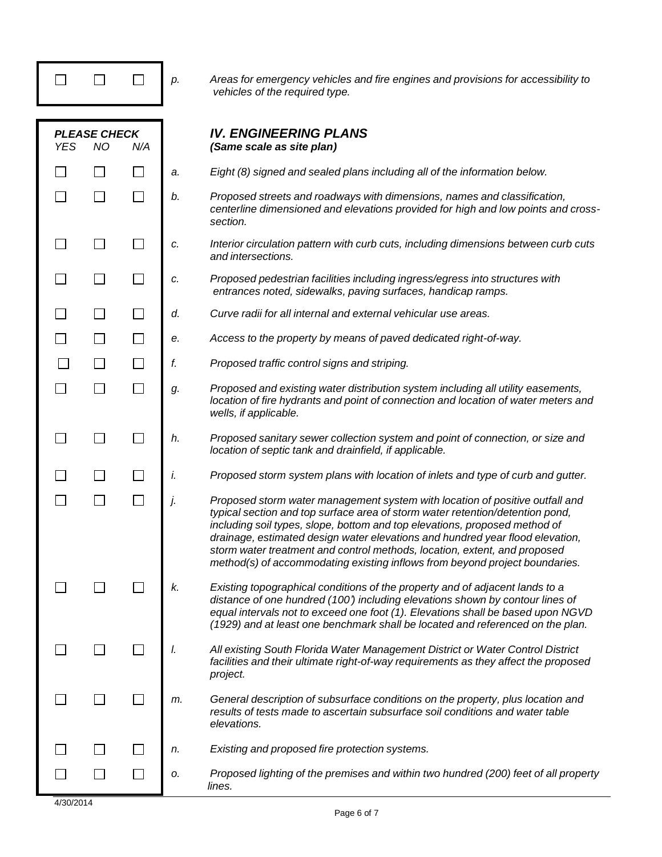|            |                                  |     | p. | Areas for emergency vehicles and fire engines and provisions for accessibility to<br>vehicles of the required type.                                                                                                                                                                                                                                                                                                                                                                      |
|------------|----------------------------------|-----|----|------------------------------------------------------------------------------------------------------------------------------------------------------------------------------------------------------------------------------------------------------------------------------------------------------------------------------------------------------------------------------------------------------------------------------------------------------------------------------------------|
| <b>YES</b> | <b>PLEASE CHECK</b><br><b>NO</b> | N/A |    | <b>IV. ENGINEERING PLANS</b><br>(Same scale as site plan)                                                                                                                                                                                                                                                                                                                                                                                                                                |
|            |                                  |     | a. | Eight (8) signed and sealed plans including all of the information below.                                                                                                                                                                                                                                                                                                                                                                                                                |
|            |                                  |     | b. | Proposed streets and roadways with dimensions, names and classification,<br>centerline dimensioned and elevations provided for high and low points and cross-<br>section.                                                                                                                                                                                                                                                                                                                |
|            |                                  |     | c. | Interior circulation pattern with curb cuts, including dimensions between curb cuts<br>and intersections.                                                                                                                                                                                                                                                                                                                                                                                |
|            |                                  |     | c. | Proposed pedestrian facilities including ingress/egress into structures with<br>entrances noted, sidewalks, paving surfaces, handicap ramps.                                                                                                                                                                                                                                                                                                                                             |
|            |                                  |     | d. | Curve radii for all internal and external vehicular use areas.                                                                                                                                                                                                                                                                                                                                                                                                                           |
|            |                                  |     | е. | Access to the property by means of paved dedicated right-of-way.                                                                                                                                                                                                                                                                                                                                                                                                                         |
|            |                                  |     | f. | Proposed traffic control signs and striping.                                                                                                                                                                                                                                                                                                                                                                                                                                             |
|            |                                  |     | g. | Proposed and existing water distribution system including all utility easements,<br>location of fire hydrants and point of connection and location of water meters and<br>wells, if applicable.                                                                                                                                                                                                                                                                                          |
|            |                                  |     | h. | Proposed sanitary sewer collection system and point of connection, or size and<br>location of septic tank and drainfield, if applicable.                                                                                                                                                                                                                                                                                                                                                 |
|            |                                  |     | İ. | Proposed storm system plans with location of inlets and type of curb and gutter.                                                                                                                                                                                                                                                                                                                                                                                                         |
|            |                                  |     | j. | Proposed storm water management system with location of positive outfall and<br>typical section and top surface area of storm water retention/detention pond,<br>including soil types, slope, bottom and top elevations, proposed method of<br>drainage, estimated design water elevations and hundred year flood elevation,<br>storm water treatment and control methods, location, extent, and proposed<br>method(s) of accommodating existing inflows from beyond project boundaries. |
|            |                                  |     | k. | Existing topographical conditions of the property and of adjacent lands to a<br>distance of one hundred (100') including elevations shown by contour lines of<br>equal intervals not to exceed one foot (1). Elevations shall be based upon NGVD<br>(1929) and at least one benchmark shall be located and referenced on the plan.                                                                                                                                                       |
|            |                                  |     | I. | All existing South Florida Water Management District or Water Control District<br>facilities and their ultimate right-of-way requirements as they affect the proposed<br>project.                                                                                                                                                                                                                                                                                                        |
|            |                                  |     | m. | General description of subsurface conditions on the property, plus location and<br>results of tests made to ascertain subsurface soil conditions and water table<br>elevations.                                                                                                                                                                                                                                                                                                          |
|            |                                  |     | n. | Existing and proposed fire protection systems.                                                                                                                                                                                                                                                                                                                                                                                                                                           |
|            |                                  |     | о. | Proposed lighting of the premises and within two hundred (200) feet of all property<br>lines.                                                                                                                                                                                                                                                                                                                                                                                            |

T